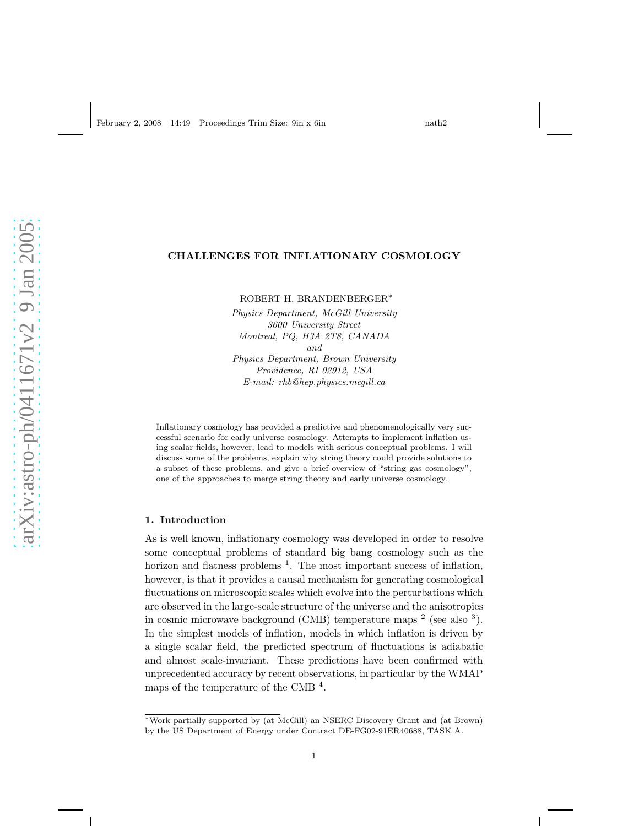## CHALLENGES FOR INFLATIONARY COSMOLOGY

ROBERT H. BRANDENBERGER<sup>∗</sup>

*Physics Department, McGill University 3600 University Street Montreal, PQ, H3A 2T8, CANADA and Physics Department, Brown University Providence, RI 02912, USA E-mail: rhb@hep.physics.mcgill.ca*

Inflationary cosmology has provided a predictive and phenomenologically very successful scenario for early universe cosmology. Attempts to implement inflation using scalar fields, however, lead to models with serious conceptual problems. I will discuss some of the problems, explain why string theory could provide solutions to a subset of these problems, and give a brief overview of "string gas cosmology", one of the approaches to merge string theory and early universe cosmology.

#### 1. Introduction

As is well known, inflationary cosmology was developed in order to resolve some conceptual problems of standard big bang cosmology such as the horizon and flatness problems <sup>1</sup>. The most important success of inflation, however, is that it provides a causal mechanism for generating cosmological fluctuations on microscopic scales which evolve into the perturbations which are observed in the large-scale structure of the universe and the anisotropies in cosmic microwave background (CMB) temperature maps  $2$  (see also  $3$ ). In the simplest models of inflation, models in which inflation is driven by a single scalar field, the predicted spectrum of fluctuations is adiabatic and almost scale-invariant. These predictions have been confirmed with unprecedented accuracy by recent observations, in particular by the WMAP maps of the temperature of the CMB <sup>4</sup>.

<sup>∗</sup>Work partially supported by (at McGill) an NSERC Discovery Grant and (at Brown) by the US Department of Energy under Contract DE-FG02-91ER40688, TASK A.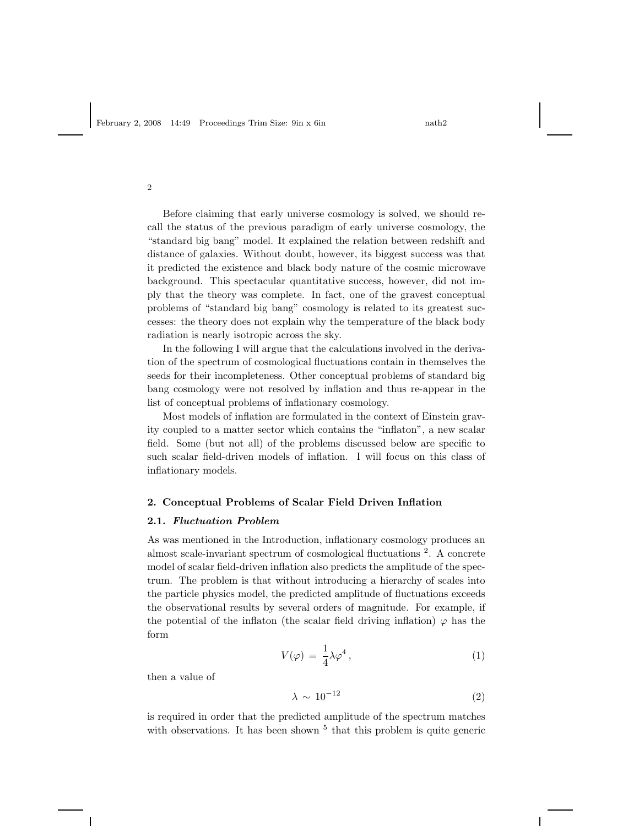Before claiming that early universe cosmology is solved, we should recall the status of the previous paradigm of early universe cosmology, the "standard big bang" model. It explained the relation between redshift and distance of galaxies. Without doubt, however, its biggest success was that it predicted the existence and black body nature of the cosmic microwave background. This spectacular quantitative success, however, did not imply that the theory was complete. In fact, one of the gravest conceptual problems of "standard big bang" cosmology is related to its greatest successes: the theory does not explain why the temperature of the black body radiation is nearly isotropic across the sky.

In the following I will argue that the calculations involved in the derivation of the spectrum of cosmological fluctuations contain in themselves the seeds for their incompleteness. Other conceptual problems of standard big bang cosmology were not resolved by inflation and thus re-appear in the list of conceptual problems of inflationary cosmology.

Most models of inflation are formulated in the context of Einstein gravity coupled to a matter sector which contains the "inflaton", a new scalar field. Some (but not all) of the problems discussed below are specific to such scalar field-driven models of inflation. I will focus on this class of inflationary models.

#### 2. Conceptual Problems of Scalar Field Driven Inflation

#### 2.1. Fluctuation Problem

As was mentioned in the Introduction, inflationary cosmology produces an almost scale-invariant spectrum of cosmological fluctuations <sup>2</sup>. A concrete model of scalar field-driven inflation also predicts the amplitude of the spectrum. The problem is that without introducing a hierarchy of scales into the particle physics model, the predicted amplitude of fluctuations exceeds the observational results by several orders of magnitude. For example, if the potential of the inflaton (the scalar field driving inflation)  $\varphi$  has the form

$$
V(\varphi) = \frac{1}{4}\lambda \varphi^4, \qquad (1)
$$

then a value of

$$
\lambda \sim 10^{-12} \tag{2}
$$

is required in order that the predicted amplitude of the spectrum matches with observations. It has been shown  $5$  that this problem is quite generic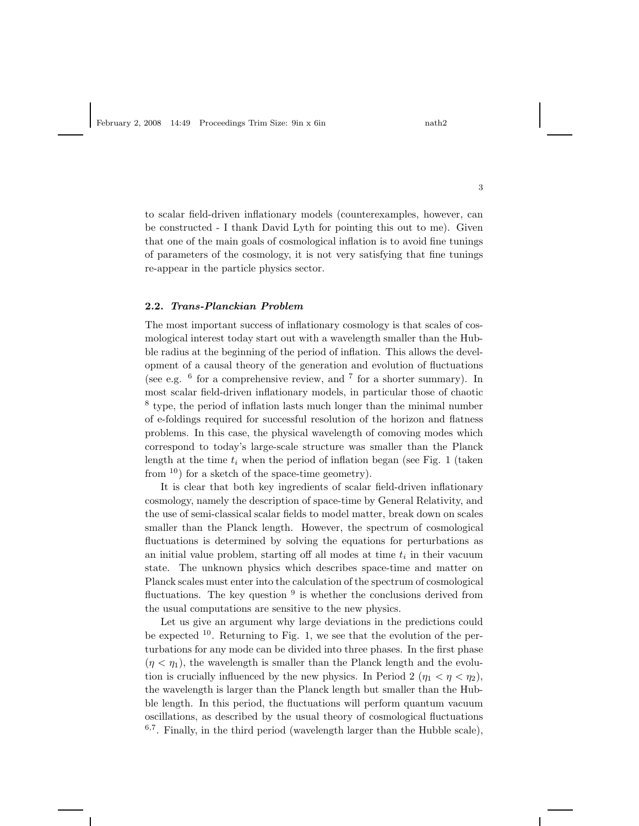to scalar field-driven inflationary models (counterexamples, however, can be constructed - I thank David Lyth for pointing this out to me). Given that one of the main goals of cosmological inflation is to avoid fine tunings of parameters of the cosmology, it is not very satisfying that fine tunings re-appear in the particle physics sector.

## 2.2. Trans-Planckian Problem

The most important success of inflationary cosmology is that scales of cosmological interest today start out with a wavelength smaller than the Hubble radius at the beginning of the period of inflation. This allows the development of a causal theory of the generation and evolution of fluctuations (see e.g.  $6$  for a comprehensive review, and  $7$  for a shorter summary). In most scalar field-driven inflationary models, in particular those of chaotic <sup>8</sup> type, the period of inflation lasts much longer than the minimal number of e-foldings required for successful resolution of the horizon and flatness problems. In this case, the physical wavelength of comoving modes which correspond to today's large-scale structure was smaller than the Planck length at the time  $t_i$  when the period of inflation began (see Fig. 1 (taken from  $(10)$  for a sketch of the space-time geometry).

It is clear that both key ingredients of scalar field-driven inflationary cosmology, namely the description of space-time by General Relativity, and the use of semi-classical scalar fields to model matter, break down on scales smaller than the Planck length. However, the spectrum of cosmological fluctuations is determined by solving the equations for perturbations as an initial value problem, starting off all modes at time  $t_i$  in their vacuum state. The unknown physics which describes space-time and matter on Planck scales must enter into the calculation of the spectrum of cosmological fluctuations. The key question  $9$  is whether the conclusions derived from the usual computations are sensitive to the new physics.

Let us give an argument why large deviations in the predictions could be expected  $10$ . Returning to Fig. 1, we see that the evolution of the perturbations for any mode can be divided into three phases. In the first phase  $(\eta < \eta_1)$ , the wavelength is smaller than the Planck length and the evolution is crucially influenced by the new physics. In Period 2 ( $\eta_1 < \eta < \eta_2$ ), the wavelength is larger than the Planck length but smaller than the Hubble length. In this period, the fluctuations will perform quantum vacuum oscillations, as described by the usual theory of cosmological fluctuations  $6,7$ . Finally, in the third period (wavelength larger than the Hubble scale),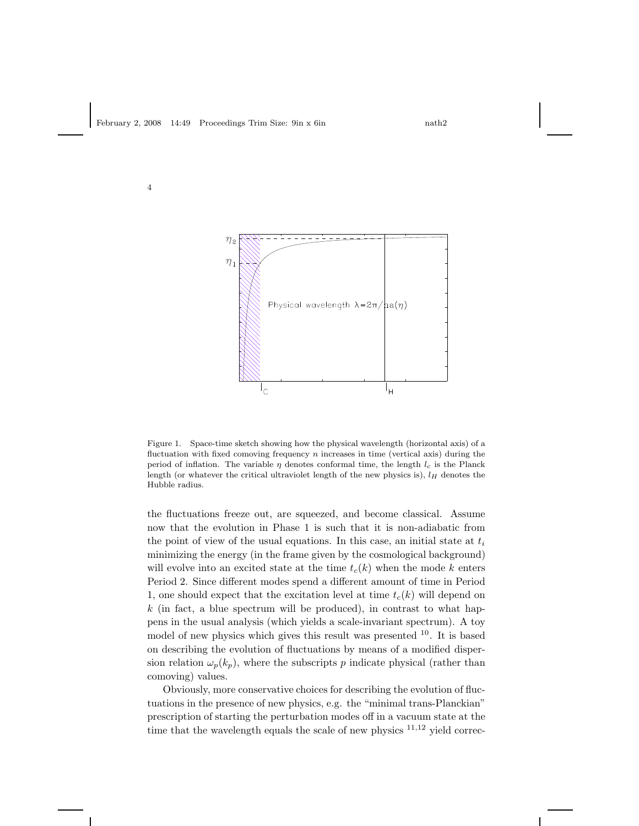

Figure 1. Space-time sketch showing how the physical wavelength (horizontal axis) of a fluctuation with fixed comoving frequency  $n$  increases in time (vertical axis) during the period of inflation. The variable  $\eta$  denotes conformal time, the length  $l_c$  is the Planck length (or whatever the critical ultraviolet length of the new physics is),  $l_H$  denotes the Hubble radius.

the fluctuations freeze out, are squeezed, and become classical. Assume now that the evolution in Phase 1 is such that it is non-adiabatic from the point of view of the usual equations. In this case, an initial state at  $t_i$ minimizing the energy (in the frame given by the cosmological background) will evolve into an excited state at the time  $t_c(k)$  when the mode k enters Period 2. Since different modes spend a different amount of time in Period 1, one should expect that the excitation level at time  $t_c(k)$  will depend on  $k$  (in fact, a blue spectrum will be produced), in contrast to what happens in the usual analysis (which yields a scale-invariant spectrum). A toy model of new physics which gives this result was presented <sup>10</sup>. It is based on describing the evolution of fluctuations by means of a modified dispersion relation  $\omega_p(k_p)$ , where the subscripts p indicate physical (rather than comoving) values.

Obviously, more conservative choices for describing the evolution of fluctuations in the presence of new physics, e.g. the "minimal trans-Planckian" prescription of starting the perturbation modes off in a vacuum state at the time that the wavelength equals the scale of new physics  $11,12$  yield correc-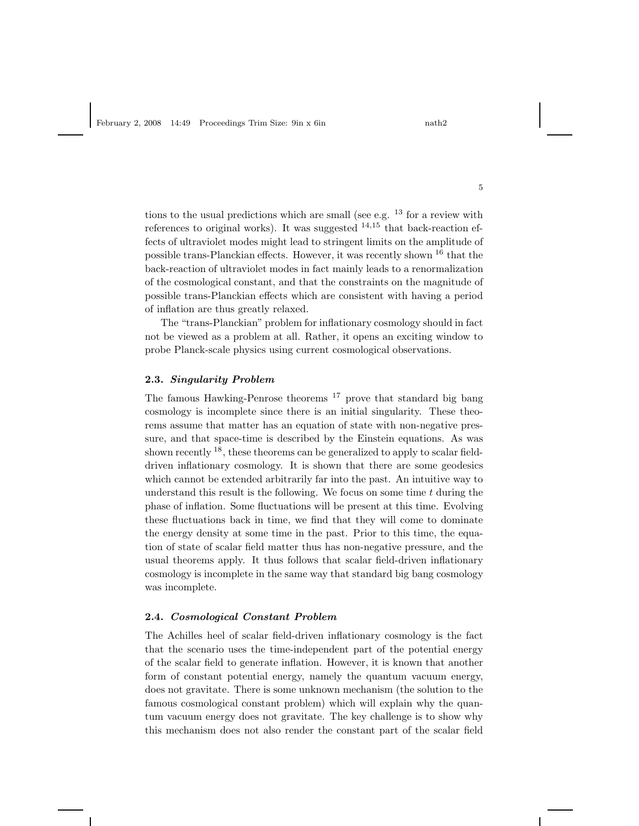tions to the usual predictions which are small (see e.g.  $^{13}$  for a review with references to original works). It was suggested  $14,15$  that back-reaction effects of ultraviolet modes might lead to stringent limits on the amplitude of possible trans-Planckian effects. However, it was recently shown <sup>16</sup> that the back-reaction of ultraviolet modes in fact mainly leads to a renormalization of the cosmological constant, and that the constraints on the magnitude of possible trans-Planckian effects which are consistent with having a period of inflation are thus greatly relaxed.

The "trans-Planckian" problem for inflationary cosmology should in fact not be viewed as a problem at all. Rather, it opens an exciting window to probe Planck-scale physics using current cosmological observations.

#### 2.3. Singularity Problem

The famous Hawking-Penrose theorems <sup>17</sup> prove that standard big bang cosmology is incomplete since there is an initial singularity. These theorems assume that matter has an equation of state with non-negative pressure, and that space-time is described by the Einstein equations. As was shown recently  $18$ , these theorems can be generalized to apply to scalar fielddriven inflationary cosmology. It is shown that there are some geodesics which cannot be extended arbitrarily far into the past. An intuitive way to understand this result is the following. We focus on some time  $t$  during the phase of inflation. Some fluctuations will be present at this time. Evolving these fluctuations back in time, we find that they will come to dominate the energy density at some time in the past. Prior to this time, the equation of state of scalar field matter thus has non-negative pressure, and the usual theorems apply. It thus follows that scalar field-driven inflationary cosmology is incomplete in the same way that standard big bang cosmology was incomplete.

## 2.4. Cosmological Constant Problem

The Achilles heel of scalar field-driven inflationary cosmology is the fact that the scenario uses the time-independent part of the potential energy of the scalar field to generate inflation. However, it is known that another form of constant potential energy, namely the quantum vacuum energy, does not gravitate. There is some unknown mechanism (the solution to the famous cosmological constant problem) which will explain why the quantum vacuum energy does not gravitate. The key challenge is to show why this mechanism does not also render the constant part of the scalar field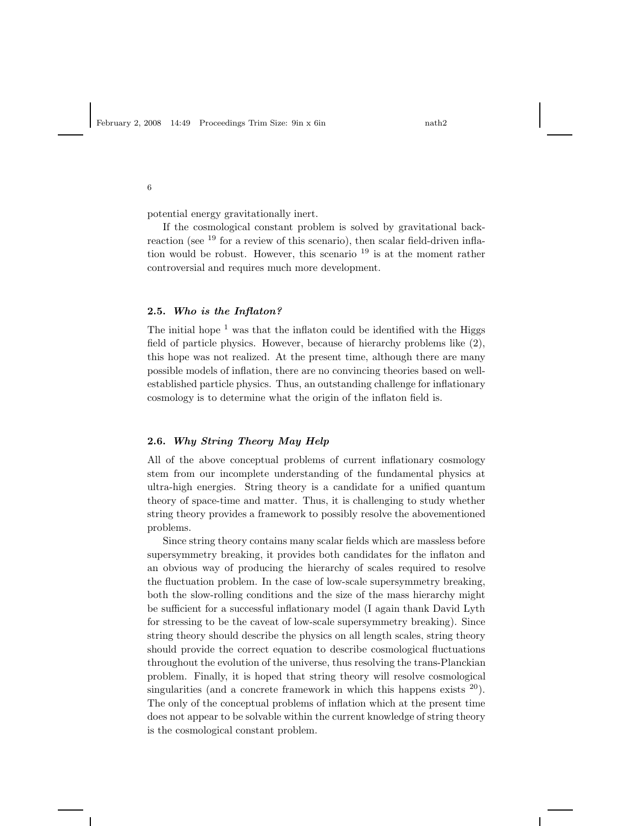potential energy gravitationally inert.

6

If the cosmological constant problem is solved by gravitational backreaction (see <sup>19</sup> for a review of this scenario), then scalar field-driven inflation would be robust. However, this scenario  $19$  is at the moment rather controversial and requires much more development.

# 2.5. Who is the Inflaton?

The initial hope  $1$  was that the inflaton could be identified with the Higgs field of particle physics. However, because of hierarchy problems like (2), this hope was not realized. At the present time, although there are many possible models of inflation, there are no convincing theories based on wellestablished particle physics. Thus, an outstanding challenge for inflationary cosmology is to determine what the origin of the inflaton field is.

# 2.6. Why String Theory May Help

All of the above conceptual problems of current inflationary cosmology stem from our incomplete understanding of the fundamental physics at ultra-high energies. String theory is a candidate for a unified quantum theory of space-time and matter. Thus, it is challenging to study whether string theory provides a framework to possibly resolve the abovementioned problems.

Since string theory contains many scalar fields which are massless before supersymmetry breaking, it provides both candidates for the inflaton and an obvious way of producing the hierarchy of scales required to resolve the fluctuation problem. In the case of low-scale supersymmetry breaking, both the slow-rolling conditions and the size of the mass hierarchy might be sufficient for a successful inflationary model (I again thank David Lyth for stressing to be the caveat of low-scale supersymmetry breaking). Since string theory should describe the physics on all length scales, string theory should provide the correct equation to describe cosmological fluctuations throughout the evolution of the universe, thus resolving the trans-Planckian problem. Finally, it is hoped that string theory will resolve cosmological singularities (and a concrete framework in which this happens exists  $20$ ). The only of the conceptual problems of inflation which at the present time does not appear to be solvable within the current knowledge of string theory is the cosmological constant problem.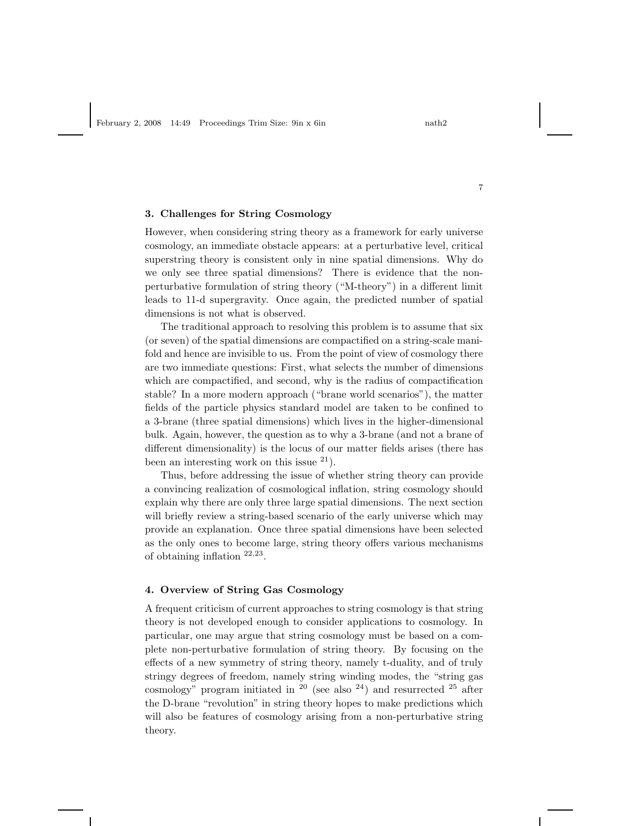# 3. Challenges for String Cosmology

However, when considering string theory as a framework for early universe cosmology, an immediate obstacle appears: at a perturbative level, critical superstring theory is consistent only in nine spatial dimensions. Why do we only see three spatial dimensions? There is evidence that the nonperturbative formulation of string theory ("M-theory") in a different limit leads to 11-d supergravity. Once again, the predicted number of spatial dimensions is not what is observed.

The traditional approach to resolving this problem is to assume that six (or seven) of the spatial dimensions are compactified on a string-scale manifold and hence are invisible to us. From the point of view of cosmology there are two immediate questions: First, what selects the number of dimensions which are compactified, and second, why is the radius of compactification stable? In a more modern approach ("brane world scenarios"), the matter fields of the particle physics standard model are taken to be confined to a 3-brane (three spatial dimensions) which lives in the higher-dimensional bulk. Again, however, the question as to why a 3-brane (and not a brane of different dimensionality) is the locus of our matter fields arises (there has been an interesting work on this issue  $21$ .

Thus, before addressing the issue of whether string theory can provide a convincing realization of cosmological inflation, string cosmology should explain why there are only three large spatial dimensions. The next section will briefly review a string-based scenario of the early universe which may provide an explanation. Once three spatial dimensions have been selected as the only ones to become large, string theory offers various mechanisms of obtaining inflation <sup>22</sup>,<sup>23</sup> .

# 4. Overview of String Gas Cosmology

A frequent criticism of current approaches to string cosmology is that string theory is not developed enough to consider applications to cosmology. In particular, one may argue that string cosmology must be based on a complete non-perturbative formulation of string theory. By focusing on the effects of a new symmetry of string theory, namely t-duality, and of truly stringy degrees of freedom, namely string winding modes, the "string gas cosmology" program initiated in  $20$  (see also  $24$ ) and resurrected  $25$  after the D-brane "revolution" in string theory hopes to make predictions which will also be features of cosmology arising from a non-perturbative string theory.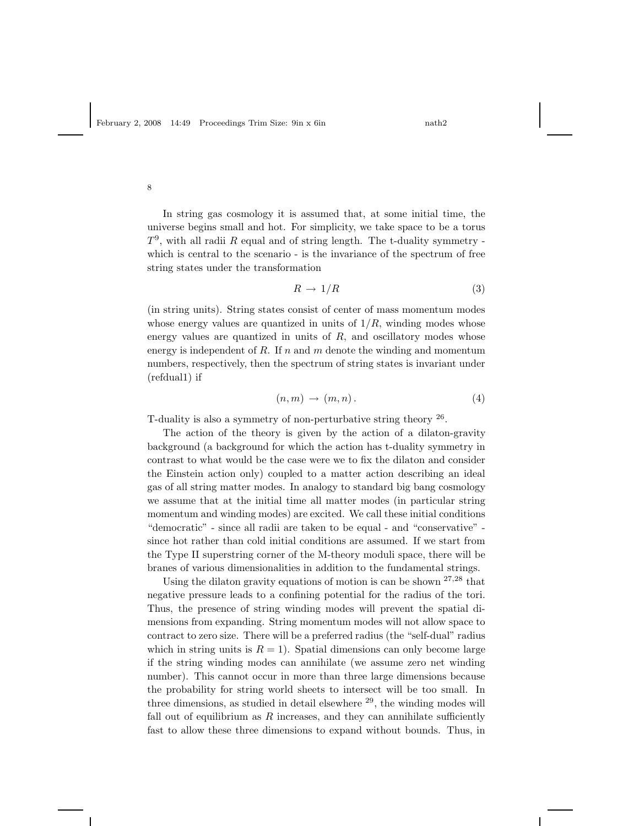In string gas cosmology it is assumed that, at some initial time, the universe begins small and hot. For simplicity, we take space to be a torus  $T<sup>9</sup>$ , with all radii R equal and of string length. The t-duality symmetry which is central to the scenario - is the invariance of the spectrum of free string states under the transformation

$$
R \to 1/R \tag{3}
$$

(in string units). String states consist of center of mass momentum modes whose energy values are quantized in units of  $1/R$ , winding modes whose energy values are quantized in units of  $R$ , and oscillatory modes whose energy is independent of  $R$ . If  $n$  and  $m$  denote the winding and momentum numbers, respectively, then the spectrum of string states is invariant under (refdual1) if

$$
(n,m)\,\rightarrow\,(m,n)\,.
$$

T-duality is also a symmetry of non-perturbative string theory  $26$ .

The action of the theory is given by the action of a dilaton-gravity background (a background for which the action has t-duality symmetry in contrast to what would be the case were we to fix the dilaton and consider the Einstein action only) coupled to a matter action describing an ideal gas of all string matter modes. In analogy to standard big bang cosmology we assume that at the initial time all matter modes (in particular string momentum and winding modes) are excited. We call these initial conditions "democratic" - since all radii are taken to be equal - and "conservative" since hot rather than cold initial conditions are assumed. If we start from the Type II superstring corner of the M-theory moduli space, there will be branes of various dimensionalities in addition to the fundamental strings.

Using the dilaton gravity equations of motion is can be shown  $27.28$  that negative pressure leads to a confining potential for the radius of the tori. Thus, the presence of string winding modes will prevent the spatial dimensions from expanding. String momentum modes will not allow space to contract to zero size. There will be a preferred radius (the "self-dual" radius which in string units is  $R = 1$ ). Spatial dimensions can only become large if the string winding modes can annihilate (we assume zero net winding number). This cannot occur in more than three large dimensions because the probability for string world sheets to intersect will be too small. In three dimensions, as studied in detail elsewhere  $^{29}$ , the winding modes will fall out of equilibrium as  $R$  increases, and they can annihilate sufficiently fast to allow these three dimensions to expand without bounds. Thus, in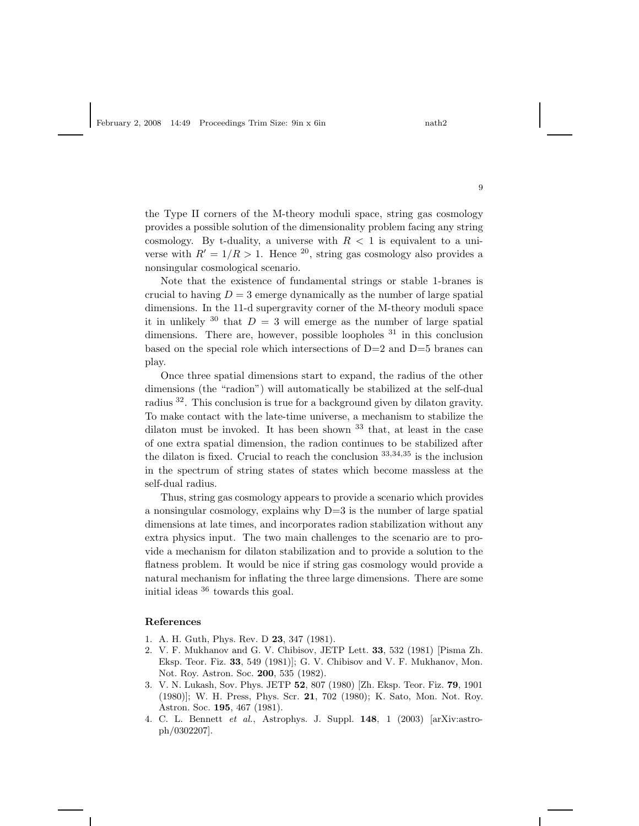the Type II corners of the M-theory moduli space, string gas cosmology provides a possible solution of the dimensionality problem facing any string cosmology. By t-duality, a universe with  $R < 1$  is equivalent to a universe with  $R' = 1/R > 1$ . Hence <sup>20</sup>, string gas cosmology also provides a nonsingular cosmological scenario.

Note that the existence of fundamental strings or stable 1-branes is crucial to having  $D = 3$  emerge dynamically as the number of large spatial dimensions. In the 11-d supergravity corner of the M-theory moduli space it in unlikely  $30$  that  $D = 3$  will emerge as the number of large spatial dimensions. There are, however, possible loopholes  $31$  in this conclusion based on the special role which intersections of D=2 and D=5 branes can play.

Once three spatial dimensions start to expand, the radius of the other dimensions (the "radion") will automatically be stabilized at the self-dual radius <sup>32</sup>. This conclusion is true for a background given by dilaton gravity. To make contact with the late-time universe, a mechanism to stabilize the dilaton must be invoked. It has been shown  $33$  that, at least in the case of one extra spatial dimension, the radion continues to be stabilized after the dilaton is fixed. Crucial to reach the conclusion <sup>33</sup>,34,<sup>35</sup> is the inclusion in the spectrum of string states of states which become massless at the self-dual radius.

Thus, string gas cosmology appears to provide a scenario which provides a nonsingular cosmology, explains why D=3 is the number of large spatial dimensions at late times, and incorporates radion stabilization without any extra physics input. The two main challenges to the scenario are to provide a mechanism for dilaton stabilization and to provide a solution to the flatness problem. It would be nice if string gas cosmology would provide a natural mechanism for inflating the three large dimensions. There are some initial ideas <sup>36</sup> towards this goal.

#### References

- 1. A. H. Guth, Phys. Rev. D 23, 347 (1981).
- 2. V. F. Mukhanov and G. V. Chibisov, JETP Lett. 33, 532 (1981) [Pisma Zh. Eksp. Teor. Fiz. 33, 549 (1981)]; G. V. Chibisov and V. F. Mukhanov, Mon. Not. Roy. Astron. Soc. 200, 535 (1982).
- 3. V. N. Lukash, Sov. Phys. JETP 52, 807 (1980) [Zh. Eksp. Teor. Fiz. 79, 1901 (1980)]; W. H. Press, Phys. Scr. 21, 702 (1980); K. Sato, Mon. Not. Roy. Astron. Soc. 195, 467 (1981).
- 4. C. L. Bennett *et al.*, Astrophys. J. Suppl. 148, 1 (2003) [arXiv:astroph/0302207].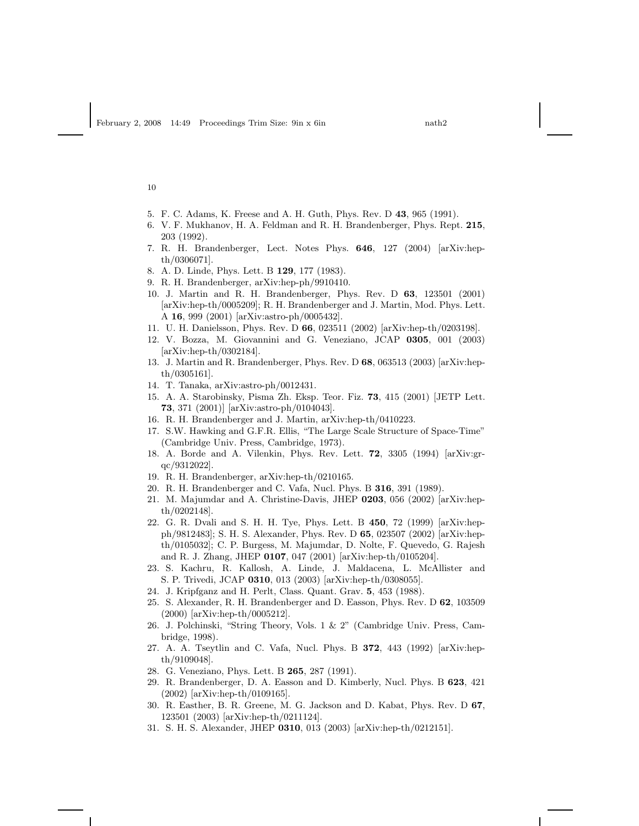- 5. F. C. Adams, K. Freese and A. H. Guth, Phys. Rev. D 43, 965 (1991).
- 6. V. F. Mukhanov, H. A. Feldman and R. H. Brandenberger, Phys. Rept. 215, 203 (1992).
- 7. R. H. Brandenberger, Lect. Notes Phys. 646, 127 (2004) [arXiv:hepth/0306071].
- 8. A. D. Linde, Phys. Lett. B 129, 177 (1983).
- 9. R. H. Brandenberger, arXiv:hep-ph/9910410.
- 10. J. Martin and R. H. Brandenberger, Phys. Rev. D 63, 123501 (2001) [arXiv:hep-th/0005209]; R. H. Brandenberger and J. Martin, Mod. Phys. Lett. A 16, 999 (2001) [arXiv:astro-ph/0005432].
- 11. U. H. Danielsson, Phys. Rev. D 66, 023511 (2002) [arXiv:hep-th/0203198].
- 12. V. Bozza, M. Giovannini and G. Veneziano, JCAP 0305, 001 (2003) [arXiv:hep-th/0302184].
- 13. J. Martin and R. Brandenberger, Phys. Rev. D 68, 063513 (2003) [arXiv:hepth/0305161].
- 14. T. Tanaka, arXiv:astro-ph/0012431.
- 15. A. A. Starobinsky, Pisma Zh. Eksp. Teor. Fiz. 73, 415 (2001) [JETP Lett. 73, 371 (2001)] [arXiv:astro-ph/0104043].
- 16. R. H. Brandenberger and J. Martin, arXiv:hep-th/0410223.
- 17. S.W. Hawking and G.F.R. Ellis, "The Large Scale Structure of Space-Time" (Cambridge Univ. Press, Cambridge, 1973).
- 18. A. Borde and A. Vilenkin, Phys. Rev. Lett. 72, 3305 (1994) [arXiv:grqc/9312022].
- 19. R. H. Brandenberger, arXiv:hep-th/0210165.
- 20. R. H. Brandenberger and C. Vafa, Nucl. Phys. B 316, 391 (1989).
- 21. M. Majumdar and A. Christine-Davis, JHEP 0203, 056 (2002) [arXiv:hepth/0202148].
- 22. G. R. Dvali and S. H. H. Tye, Phys. Lett. B 450, 72 (1999) [arXiv:hepph/9812483]; S. H. S. Alexander, Phys. Rev. D 65, 023507 (2002) [arXiv:hepth/0105032]; C. P. Burgess, M. Majumdar, D. Nolte, F. Quevedo, G. Rajesh and R. J. Zhang, JHEP 0107, 047 (2001) [arXiv:hep-th/0105204].
- 23. S. Kachru, R. Kallosh, A. Linde, J. Maldacena, L. McAllister and S. P. Trivedi, JCAP 0310, 013 (2003) [arXiv:hep-th/0308055].
- 24. J. Kripfganz and H. Perlt, Class. Quant. Grav. 5, 453 (1988).
- 25. S. Alexander, R. H. Brandenberger and D. Easson, Phys. Rev. D 62, 103509 (2000) [arXiv:hep-th/0005212].
- 26. J. Polchinski, "String Theory, Vols. 1 & 2" (Cambridge Univ. Press, Cambridge, 1998).
- 27. A. A. Tseytlin and C. Vafa, Nucl. Phys. B 372, 443 (1992) [arXiv:hepth/9109048].
- 28. G. Veneziano, Phys. Lett. B 265, 287 (1991).
- 29. R. Brandenberger, D. A. Easson and D. Kimberly, Nucl. Phys. B 623, 421 (2002) [arXiv:hep-th/0109165].
- 30. R. Easther, B. R. Greene, M. G. Jackson and D. Kabat, Phys. Rev. D 67, 123501 (2003) [arXiv:hep-th/0211124].
- 31. S. H. S. Alexander, JHEP 0310, 013 (2003) [arXiv:hep-th/0212151].